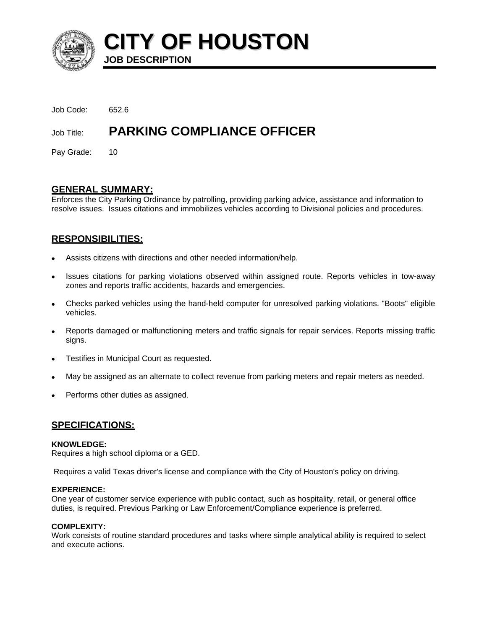

**CITY OF HOUSTON JOB DESCRIPTION** 

| Job Code:<br>Job Title: | <b>PARKING COMPLIANCE OFFICER</b> |
|-------------------------|-----------------------------------|
|                         |                                   |

Pay Grade: 10

## **GENERAL SUMMARY:**

Enforces the City Parking Ordinance by patrolling, providing parking advice, assistance and information to resolve issues. Issues citations and immobilizes vehicles according to Divisional policies and procedures.

# **RESPONSIBILITIES:**

- Assists citizens with directions and other needed information/help.
- Issues citations for parking violations observed within assigned route. Reports vehicles in tow-away zones and reports traffic accidents, hazards and emergencies.
- Checks parked vehicles using the hand-held computer for unresolved parking violations. "Boots" eligible vehicles.
- Reports damaged or malfunctioning meters and traffic signals for repair services. Reports missing traffic signs.
- Testifies in Municipal Court as requested.
- May be assigned as an alternate to collect revenue from parking meters and repair meters as needed.
- Performs other duties as assigned.

## **SPECIFICATIONS:**

#### **KNOWLEDGE:**

Requires a high school diploma or a GED.

Requires a valid Texas driver's license and compliance with the City of Houston's policy on driving.

#### **EXPERIENCE:**

One year of customer service experience with public contact, such as hospitality, retail, or general office duties, is required. Previous Parking or Law Enforcement/Compliance experience is preferred.

#### **COMPLEXITY:**

Work consists of routine standard procedures and tasks where simple analytical ability is required to select and execute actions.